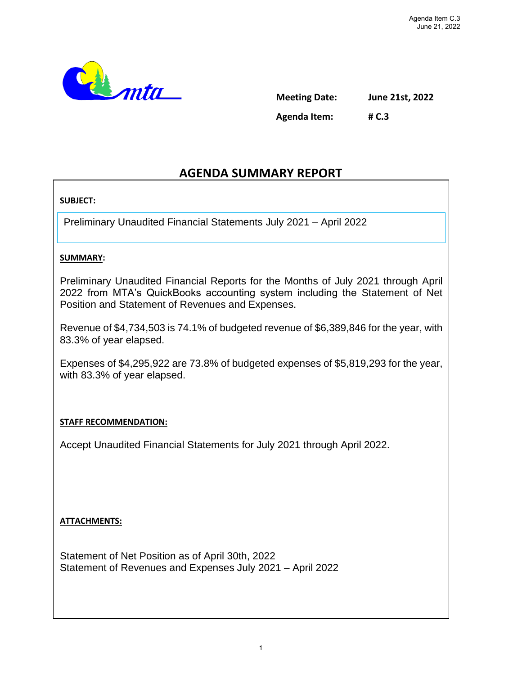

**Meeting Date: June 21st, 2022 Agenda Item: # C.3**

# **AGENDA SUMMARY REPORT**

## **SUBJECT:**

Preliminary Unaudited Financial Statements July 2021 – April 2022

## **SUMMARY:**

Preliminary Unaudited Financial Reports for the Months of July 2021 through April 2022 from MTA's QuickBooks accounting system including the Statement of Net Position and Statement of Revenues and Expenses.

Revenue of \$4,734,503 is 74.1% of budgeted revenue of \$6,389,846 for the year, with 83.3% of year elapsed.

Expenses of \$4,295,922 are 73.8% of budgeted expenses of \$5,819,293 for the year, with 83.3% of year elapsed.

## **STAFF RECOMMENDATION:**

Accept Unaudited Financial Statements for July 2021 through April 2022.

## **ATTACHMENTS:**

Statement of Net Position as of April 30th, 2022 Statement of Revenues and Expenses July 2021 – April 2022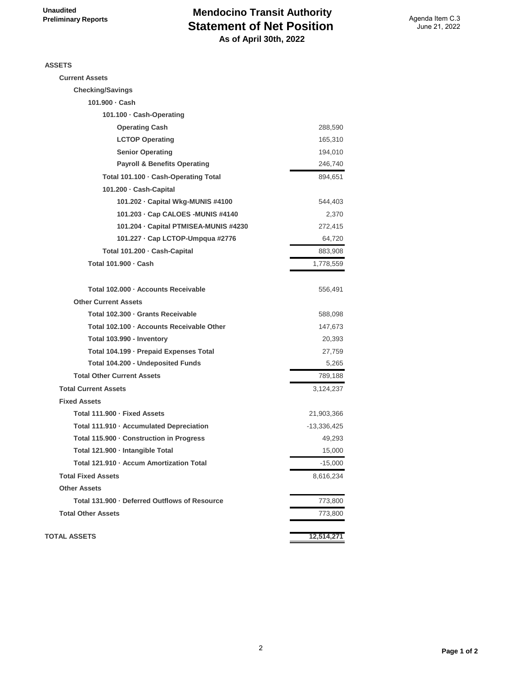## **Mendocino Transit Authority Statement of Net Position As of April 30th, 2022**

**ASSETS**

| SSETS                                         |             |
|-----------------------------------------------|-------------|
| <b>Current Assets</b>                         |             |
| <b>Checking/Savings</b>                       |             |
| 101.900 · Cash                                |             |
| 101.100 · Cash-Operating                      |             |
| <b>Operating Cash</b>                         | 288,590     |
| <b>LCTOP Operating</b>                        | 165,310     |
| <b>Senior Operating</b>                       | 194,010     |
| <b>Payroll &amp; Benefits Operating</b>       | 246,740     |
| Total 101.100 · Cash-Operating Total          | 894,651     |
| 101.200 · Cash-Capital                        |             |
| 101.202 - Capital Wkg-MUNIS #4100             | 544,403     |
| 101.203 · Cap CALOES - MUNIS #4140            | 2,370       |
| 101.204 - Capital PTMISEA-MUNIS #4230         | 272,415     |
| 101.227 - Cap LCTOP-Umpqua #2776              | 64,720      |
| Total 101.200 · Cash-Capital                  | 883,908     |
| Total 101.900 · Cash                          | 1,778,559   |
| Total 102.000 · Accounts Receivable           | 556,491     |
| <b>Other Current Assets</b>                   |             |
| Total 102.300 · Grants Receivable             | 588,098     |
| Total 102.100 · Accounts Receivable Other     | 147,673     |
| Total 103.990 - Inventory                     | 20,393      |
| Total 104.199 · Prepaid Expenses Total        | 27,759      |
| Total 104.200 - Undeposited Funds             | 5,265       |
| <b>Total Other Current Assets</b>             | 789,188     |
| <b>Total Current Assets</b>                   | 3,124,237   |
| <b>Fixed Assets</b>                           |             |
| Total 111.900 · Fixed Assets                  | 21,903,366  |
| Total 111.910 · Accumulated Depreciation      | -13,336,425 |
| Total 115.900 · Construction in Progress      | 49,293      |
| Total 121.900 · Intangible Total              | 15,000      |
| Total 121.910 · Accum Amortization Total      | $-15,000$   |
| <b>Total Fixed Assets</b>                     | 8,616,234   |
| <b>Other Assets</b>                           |             |
| Total 131.900 - Deferred Outflows of Resource | 773,800     |
| <b>Total Other Assets</b>                     | 773,800     |
|                                               |             |

**TOTAL ASSETS 12,514,271**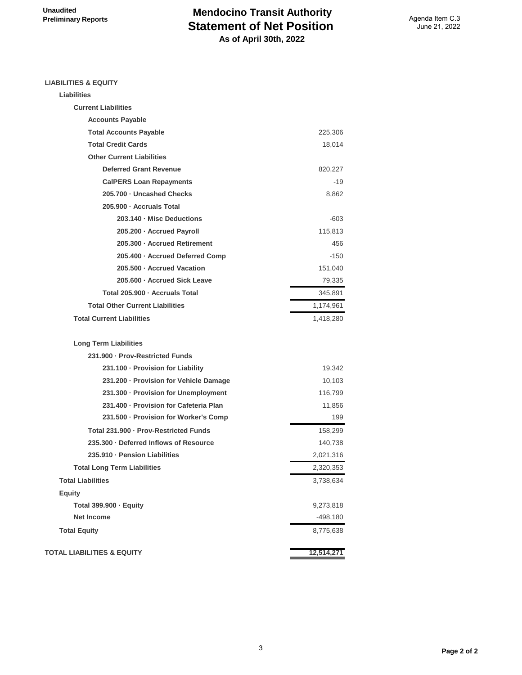## **Mendocino Transit Authority Statement of Net Position As of April 30th, 2022**

#### **LIABILITIES & EQUITY**

| Liabilities                            |           |
|----------------------------------------|-----------|
| <b>Current Liabilities</b>             |           |
| <b>Accounts Payable</b>                |           |
| <b>Total Accounts Payable</b>          | 225,306   |
| <b>Total Credit Cards</b>              | 18,014    |
| <b>Other Current Liabilities</b>       |           |
| <b>Deferred Grant Revenue</b>          | 820,227   |
| <b>CalPERS Loan Repayments</b>         | -19       |
| 205.700 · Uncashed Checks              | 8,862     |
| 205.900 · Accruals Total               |           |
| 203.140 - Misc Deductions              | $-603$    |
| 205.200 · Accrued Payroll              | 115,813   |
| 205.300 - Accrued Retirement           | 456       |
| 205.400 · Accrued Deferred Comp        | $-150$    |
| 205.500 - Accrued Vacation             | 151,040   |
| 205.600 - Accrued Sick Leave           | 79,335    |
| Total 205.900 · Accruals Total         | 345,891   |
| <b>Total Other Current Liabilities</b> | 1,174,961 |
| <b>Total Current Liabilities</b>       | 1,418,280 |
| <b>Long Term Liabilities</b>           |           |
| 231.900 · Prov-Restricted Funds        |           |
| 231.100 - Provision for Liability      | 19,342    |
| 231.200 · Provision for Vehicle Damage | 10,103    |
| 231.300 · Provision for Unemployment   | 116,799   |
| 231.400 · Provision for Cafeteria Plan | 11,856    |
| 231.500 · Provision for Worker's Comp  | 199       |
| Total 231.900 · Prov-Restricted Funds  | 158,299   |
| 235.300 - Deferred Inflows of Resource | 140,738   |
| 235.910 - Pension Liabilities          | 2,021,316 |
| <b>Total Long Term Liabilities</b>     | 2,320,353 |
| <b>Total Liabilities</b>               | 3,738,634 |
| <b>Equity</b>                          |           |
| Total 399.900 · Equity                 | 9,273,818 |
| <b>Net Income</b>                      | -498,180  |
| <b>Total Equity</b>                    | 8,775,638 |
|                                        |           |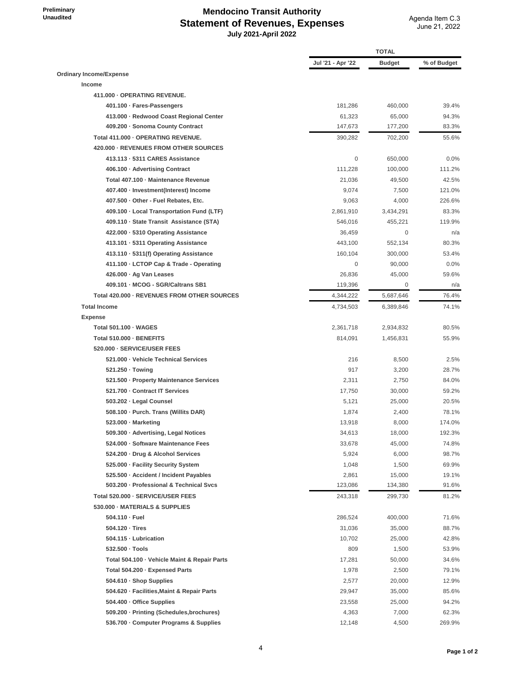**Preliminary Unaudited**

### **Mendocino Transit Authority Statement of Revenues, Expenses July 2021-April 2022**

|                                              |                   | <b>TOTAL</b> |             |  |
|----------------------------------------------|-------------------|--------------|-------------|--|
|                                              | Jul '21 - Apr '22 | Budget       | % of Budget |  |
| Ordinary Income/Expense                      |                   |              |             |  |
| Income                                       |                   |              |             |  |
| 411.000 - OPERATING REVENUE.                 |                   |              |             |  |
| 401.100 · Fares-Passengers                   | 181,286           | 460,000      | 39.4%       |  |
| 413.000 - Redwood Coast Regional Center      | 61,323            | 65,000       | 94.3%       |  |
| 409.200 · Sonoma County Contract             | 147,673           | 177,200      | 83.3%       |  |
| Total 411.000 - OPERATING REVENUE.           | 390,282           | 702,200      | 55.6%       |  |
| 420.000 - REVENUES FROM OTHER SOURCES        |                   |              |             |  |
| 413.113 - 5311 CARES Assistance              | $\mathbf 0$       | 650,000      | 0.0%        |  |
| 406.100 Advertising Contract                 | 111,228           | 100,000      | 111.2%      |  |
| Total 407.100 - Maintenance Revenue          | 21,036            | 49,500       | 42.5%       |  |
| 407.400 · Investment(Interest) Income        | 9,074             | 7,500        | 121.0%      |  |
| 407.500 Other - Fuel Rebates, Etc.           | 9,063             | 4,000        | 226.6%      |  |
| 409.100 · Local Transportation Fund (LTF)    | 2,861,910         | 3,434,291    | 83.3%       |  |
| 409.110 · State Transit Assistance (STA)     | 546,016           | 455,221      | 119.9%      |  |
| 422.000 · 5310 Operating Assistance          | 36,459            | $\mathbf 0$  | n/a         |  |
| 413.101 · 5311 Operating Assistance          | 443,100           | 552,134      | 80.3%       |  |
|                                              | 160,104           | 300,000      |             |  |
| 413.110 - 5311(f) Operating Assistance       |                   |              | 53.4%       |  |
| 411.100 - LCTOP Cap & Trade - Operating      | $\mathbf 0$       | 90,000       | 0.0%        |  |
| 426.000 · Ag Van Leases                      | 26,836            | 45,000       | 59.6%       |  |
| 409.101 - MCOG - SGR/Caltrans SB1            | 119,396           | 0            | n/a         |  |
| Total 420,000 - REVENUES FROM OTHER SOURCES  | 4,344,222         | 5,687,646    | 76.4%       |  |
| <b>Total Income</b>                          | 4,734,503         | 6,389,846    | 74.1%       |  |
| <b>Expense</b>                               |                   |              |             |  |
| Total 501.100 · WAGES                        | 2,361,718         | 2,934,832    | 80.5%       |  |
| Total 510.000 - BENEFITS                     | 814,091           | 1,456,831    | 55.9%       |  |
| 520.000 - SERVICE/USER FEES                  |                   |              |             |  |
| 521.000 - Vehicle Technical Services         | 216               | 8,500        | 2.5%        |  |
| 521.250 · Towing                             | 917               | 3,200        | 28.7%       |  |
| 521.500 - Property Maintenance Services      | 2,311             | 2,750        | 84.0%       |  |
| 521.700 - Contract IT Services               | 17,750            | 30,000       | 59.2%       |  |
| 503.202 · Legal Counsel                      | 5,121             | 25,000       | 20.5%       |  |
| 508.100 · Purch. Trans (Willits DAR)         | 1,874             | 2,400        | 78.1%       |  |
| 523.000 - Marketing                          | 13,918            | 8,000        | 174.0%      |  |
| 509.300 · Advertising, Legal Notices         | 34,613            | 18,000       | 192.3%      |  |
| 524.000 · Software Maintenance Fees          | 33,678            | 45,000       | 74.8%       |  |
| 524.200 · Drug & Alcohol Services            | 5,924             | 6,000        | 98.7%       |  |
| 525.000 - Facility Security System           | 1,048             | 1,500        | 69.9%       |  |
| 525.500 · Accident / Incident Payables       | 2,861             | 15,000       | 19.1%       |  |
| 503.200 · Professional & Technical Svcs      | 123,086           | 134,380      | 91.6%       |  |
| Total 520.000 - SERVICE/USER FEES            | 243,318           | 299,730      | 81.2%       |  |
| 530.000 - MATERIALS & SUPPLIES               |                   |              |             |  |
| 504.110 - Fuel                               | 286,524           | 400,000      | 71.6%       |  |
| $504.120 \cdot Tires$                        | 31,036            | 35,000       | 88.7%       |  |
| 504.115 - Lubrication                        | 10,702            | 25,000       | 42.8%       |  |
| 532.500 · Tools                              | 809               | 1,500        | 53.9%       |  |
| Total 504.100 · Vehicle Maint & Repair Parts | 17,281            | 50,000       | 34.6%       |  |
| Total 504.200 - Expensed Parts               | 1,978             | 2,500        | 79.1%       |  |
| 504.610 · Shop Supplies                      | 2,577             | 20,000       | 12.9%       |  |
| 504.620 · Facilities, Maint & Repair Parts   | 29,947            | 35,000       | 85.6%       |  |
| 504.400 Office Supplies                      | 23,558            | 25,000       | 94.2%       |  |
| 509.200 · Printing (Schedules, brochures)    | 4,363             | 7,000        | 62.3%       |  |
| 536.700 · Computer Programs & Supplies       | 12,148            | 4,500        | 269.9%      |  |
|                                              |                   |              |             |  |